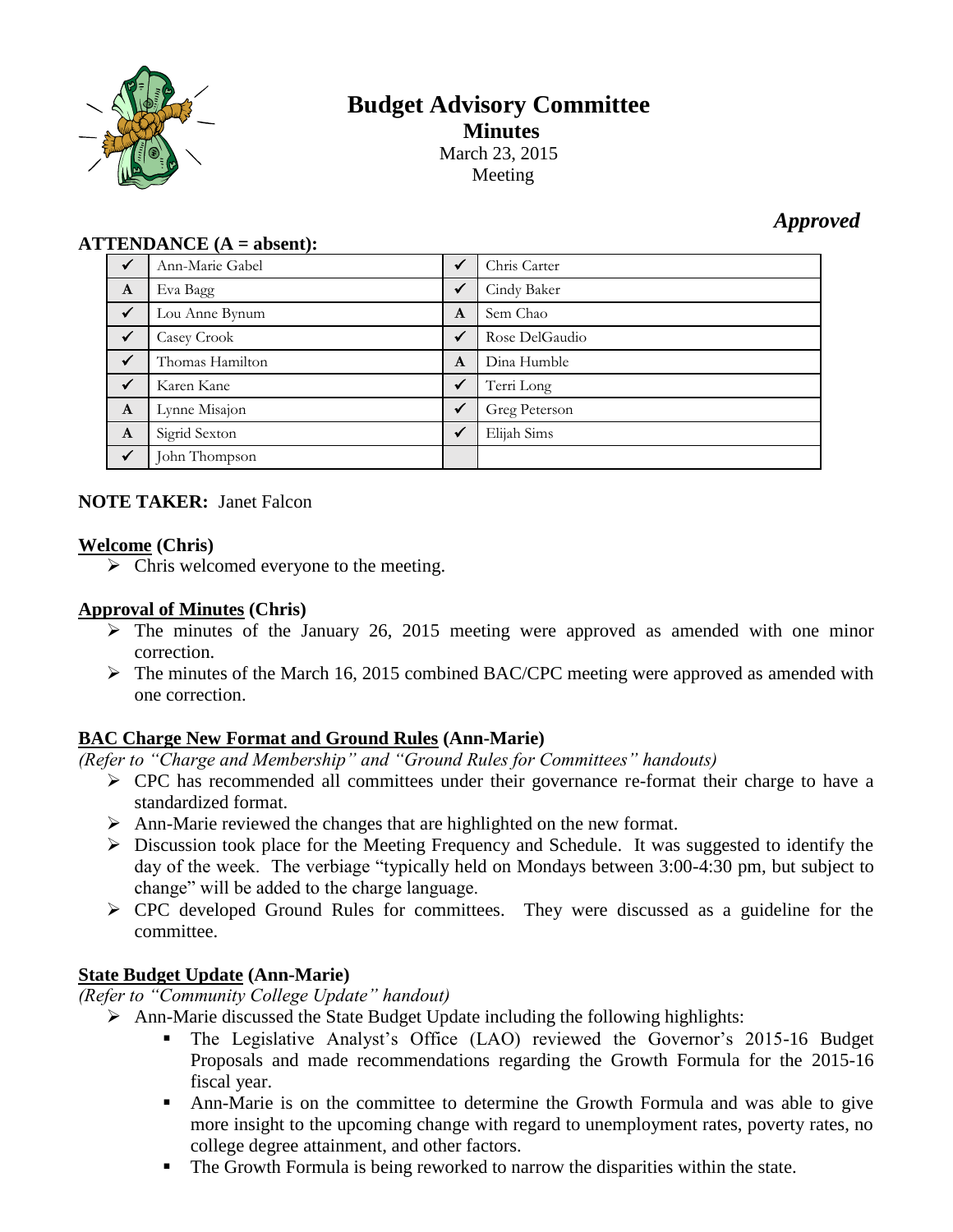

# **Budget Advisory Committee Minutes** March 23, 2015 Meeting

## *Approved*

#### **ATTENDANCE (A = absent):**

| $\checkmark$ | Ann-Marie Gabel | $\checkmark$ | Chris Carter   |
|--------------|-----------------|--------------|----------------|
| A            | Eva Bagg        | $\checkmark$ | Cindy Baker    |
| $\checkmark$ | Lou Anne Bynum  | A            | Sem Chao       |
| $\sqrt{}$    | Casey Crook     | $\checkmark$ | Rose DelGaudio |
| $\checkmark$ | Thomas Hamilton | A            | Dina Humble    |
| $\checkmark$ | Karen Kane      | $\checkmark$ | Terri Long     |
| $\mathbf{A}$ | Lynne Misajon   | $\checkmark$ | Greg Peterson  |
| $\mathbf{A}$ | Sigrid Sexton   | $\checkmark$ | Elijah Sims    |
| $\checkmark$ | John Thompson   |              |                |

## **NOTE TAKER:** Janet Falcon

#### **Welcome (Chris)**

 $\triangleright$  Chris welcomed everyone to the meeting.

## **Approval of Minutes (Chris)**

- $\triangleright$  The minutes of the January 26, 2015 meeting were approved as amended with one minor correction.
- $\triangleright$  The minutes of the March 16, 2015 combined BAC/CPC meeting were approved as amended with one correction.

## **BAC Charge New Format and Ground Rules (Ann-Marie)**

*(Refer to "Charge and Membership" and "Ground Rules for Committees" handouts)*

- $\triangleright$  CPC has recommended all committees under their governance re-format their charge to have a standardized format.
- Ann-Marie reviewed the changes that are highlighted on the new format.
- $\triangleright$  Discussion took place for the Meeting Frequency and Schedule. It was suggested to identify the day of the week. The verbiage "typically held on Mondays between 3:00-4:30 pm, but subject to change" will be added to the charge language.
- $\triangleright$  CPC developed Ground Rules for committees. They were discussed as a guideline for the committee.

## **State Budget Update (Ann-Marie)**

*(Refer to "Community College Update" handout)*

- $\triangleright$  Ann-Marie discussed the State Budget Update including the following highlights:
	- The Legislative Analyst's Office (LAO) reviewed the Governor's 2015-16 Budget Proposals and made recommendations regarding the Growth Formula for the 2015-16 fiscal year.
	- Ann-Marie is on the committee to determine the Growth Formula and was able to give more insight to the upcoming change with regard to unemployment rates, poverty rates, no college degree attainment, and other factors.
	- The Growth Formula is being reworked to narrow the disparities within the state.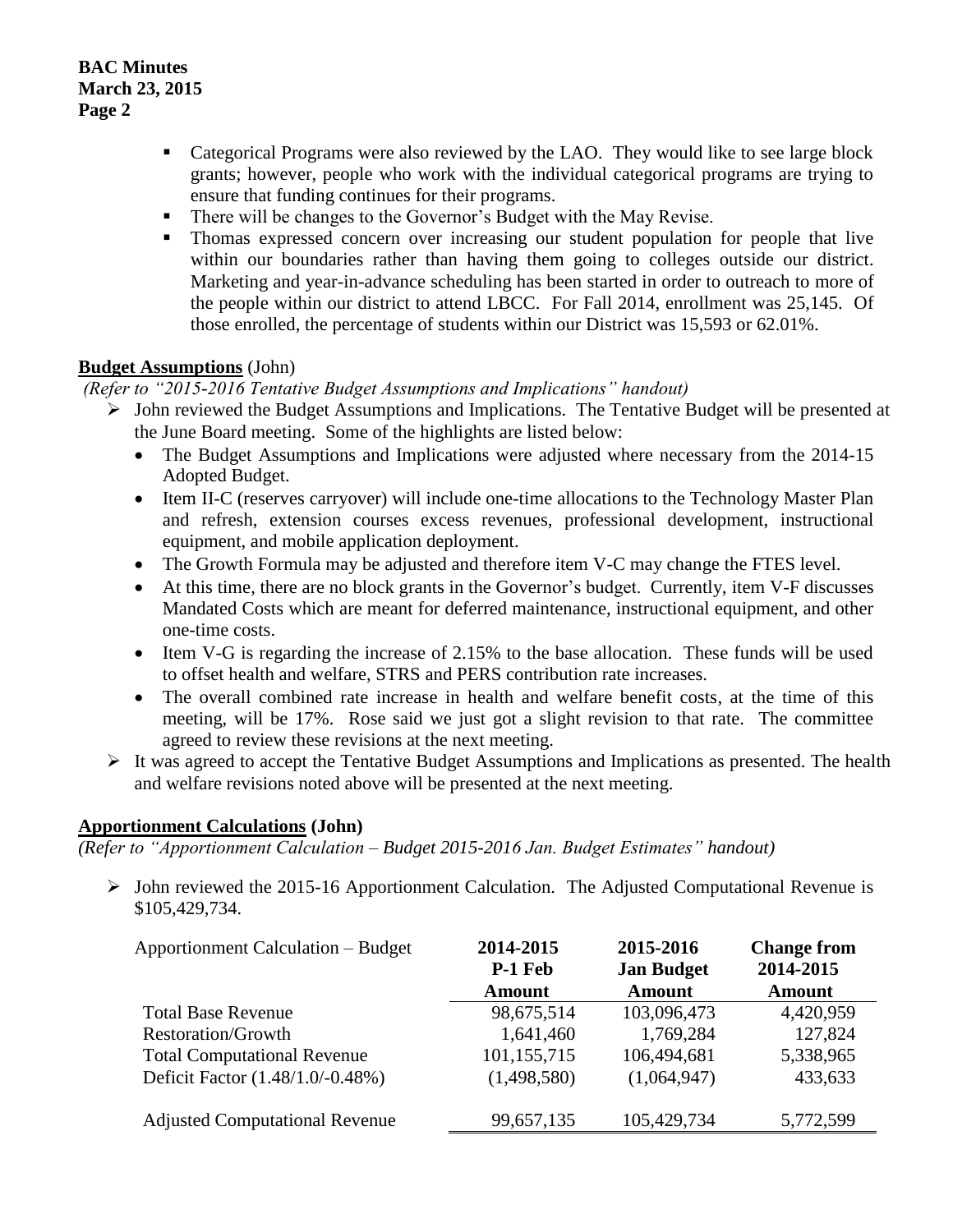- Categorical Programs were also reviewed by the LAO. They would like to see large block grants; however, people who work with the individual categorical programs are trying to ensure that funding continues for their programs.
- There will be changes to the Governor's Budget with the May Revise.
- Thomas expressed concern over increasing our student population for people that live within our boundaries rather than having them going to colleges outside our district. Marketing and year-in-advance scheduling has been started in order to outreach to more of the people within our district to attend LBCC. For Fall 2014, enrollment was 25,145. Of those enrolled, the percentage of students within our District was 15,593 or 62.01%.

## **Budget Assumptions** (John)

## *(Refer to "2015-2016 Tentative Budget Assumptions and Implications" handout)*

- $\triangleright$  John reviewed the Budget Assumptions and Implications. The Tentative Budget will be presented at the June Board meeting. Some of the highlights are listed below:
	- The Budget Assumptions and Implications were adjusted where necessary from the 2014-15 Adopted Budget.
	- Item II-C (reserves carryover) will include one-time allocations to the Technology Master Plan and refresh, extension courses excess revenues, professional development, instructional equipment, and mobile application deployment.
	- The Growth Formula may be adjusted and therefore item V-C may change the FTES level.
	- At this time, there are no block grants in the Governor's budget. Currently, item V-F discusses Mandated Costs which are meant for deferred maintenance, instructional equipment, and other one-time costs.
	- Item V-G is regarding the increase of 2.15% to the base allocation. These funds will be used to offset health and welfare, STRS and PERS contribution rate increases.
	- The overall combined rate increase in health and welfare benefit costs, at the time of this meeting, will be 17%. Rose said we just got a slight revision to that rate. The committee agreed to review these revisions at the next meeting.
- $\triangleright$  It was agreed to accept the Tentative Budget Assumptions and Implications as presented. The health and welfare revisions noted above will be presented at the next meeting.

## **Apportionment Calculations (John)**

*(Refer to "Apportionment Calculation – Budget 2015-2016 Jan. Budget Estimates" handout)*

 $\triangleright$  John reviewed the 2015-16 Apportionment Calculation. The Adjusted Computational Revenue is \$105,429,734.

| <b>Apportionment Calculation – Budget</b> | 2014-2015<br>P-1 Feb<br><b>Amount</b> | 2015-2016<br><b>Jan Budget</b><br><b>Amount</b> | <b>Change from</b><br>2014-2015<br><b>Amount</b> |
|-------------------------------------------|---------------------------------------|-------------------------------------------------|--------------------------------------------------|
| <b>Total Base Revenue</b>                 | 98,675,514                            | 103,096,473                                     | 4,420,959                                        |
| <b>Restoration/Growth</b>                 | 1,641,460                             | 1,769,284                                       | 127,824                                          |
| <b>Total Computational Revenue</b>        | 101,155,715                           | 106,494,681                                     | 5,338,965                                        |
| Deficit Factor (1.48/1.0/-0.48%)          | (1,498,580)                           | (1,064,947)                                     | 433,633                                          |
| <b>Adjusted Computational Revenue</b>     | 99,657,135                            | 105,429,734                                     | 5,772,599                                        |